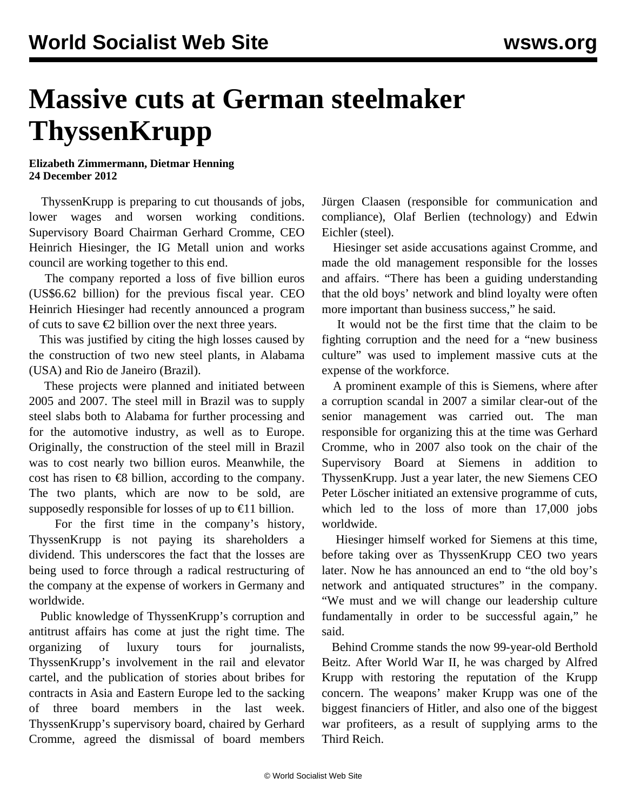## **Massive cuts at German steelmaker ThyssenKrupp**

## **Elizabeth Zimmermann, Dietmar Henning 24 December 2012**

 ThyssenKrupp is preparing to cut thousands of jobs, lower wages and worsen working conditions. Supervisory Board Chairman Gerhard Cromme, CEO Heinrich Hiesinger, the IG Metall union and works council are working together to this end.

 The company reported a loss of five billion euros (US\$6.62 billion) for the previous fiscal year. CEO Heinrich Hiesinger had recently announced a program of cuts to save €2 billion over the next three years.

 This was justified by citing the high losses caused by the construction of two new steel plants, in Alabama (USA) and Rio de Janeiro (Brazil).

 These projects were planned and initiated between 2005 and 2007. The steel mill in Brazil was to supply steel slabs both to Alabama for further processing and for the automotive industry, as well as to Europe. Originally, the construction of the steel mill in Brazil was to cost nearly two billion euros. Meanwhile, the cost has risen to  $\epsilon$ 8 billion, according to the company. The two plants, which are now to be sold, are supposedly responsible for losses of up to  $\in$ 11 billion.

 For the first time in the company's history, ThyssenKrupp is not paying its shareholders a dividend. This underscores the fact that the losses are being used to force through a radical restructuring of the company at the expense of workers in Germany and worldwide.

 Public knowledge of ThyssenKrupp's corruption and antitrust affairs has come at just the right time. The organizing of luxury tours for journalists, ThyssenKrupp's involvement in the rail and elevator cartel, and the publication of stories about bribes for contracts in Asia and Eastern Europe led to the sacking of three board members in the last week. ThyssenKrupp's supervisory board, chaired by Gerhard Cromme, agreed the dismissal of board members

Jürgen Claasen (responsible for communication and compliance), Olaf Berlien (technology) and Edwin Eichler (steel).

 Hiesinger set aside accusations against Cromme, and made the old management responsible for the losses and affairs. "There has been a guiding understanding that the old boys' network and blind loyalty were often more important than business success," he said.

 It would not be the first time that the claim to be fighting corruption and the need for a "new business culture" was used to implement massive cuts at the expense of the workforce.

 A prominent example of this is Siemens, where after a corruption scandal in 2007 a similar clear-out of the senior management was carried out. The man responsible for organizing this at the time was Gerhard Cromme, who in 2007 also took on the chair of the Supervisory Board at Siemens in addition to ThyssenKrupp. Just a year later, the new Siemens CEO Peter Löscher initiated an extensive programme of cuts, which led to the loss of more than 17,000 jobs worldwide.

 Hiesinger himself worked for Siemens at this time, before taking over as ThyssenKrupp CEO two years later. Now he has announced an end to "the old boy's network and antiquated structures" in the company. "We must and we will change our leadership culture fundamentally in order to be successful again," he said.

 Behind Cromme stands the now 99-year-old Berthold Beitz. After World War II, he was charged by Alfred Krupp with restoring the reputation of the Krupp concern. The weapons' maker Krupp was one of the biggest financiers of Hitler, and also one of the biggest war profiteers, as a result of supplying arms to the Third Reich.